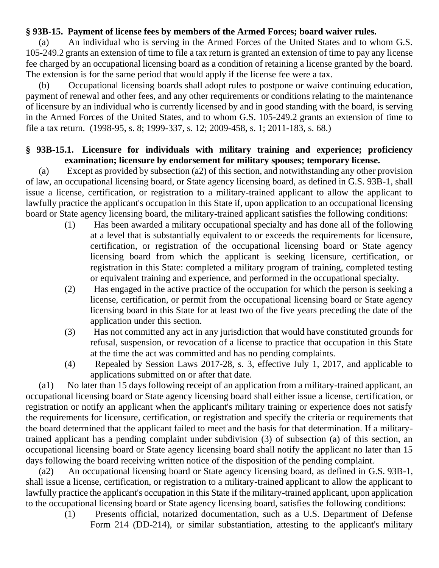## **§ 93B-15. Payment of license fees by members of the Armed Forces; board waiver rules.**

(a) An individual who is serving in the Armed Forces of the United States and to whom G.S. 105-249.2 grants an extension of time to file a tax return is granted an extension of time to pay any license fee charged by an occupational licensing board as a condition of retaining a license granted by the board. The extension is for the same period that would apply if the license fee were a tax.

(b) Occupational licensing boards shall adopt rules to postpone or waive continuing education, payment of renewal and other fees, and any other requirements or conditions relating to the maintenance of licensure by an individual who is currently licensed by and in good standing with the board, is serving in the Armed Forces of the United States, and to whom G.S. 105-249.2 grants an extension of time to file a tax return. (1998-95, s. 8; 1999-337, s. 12; 2009-458, s. 1; 2011-183, s. 68.)

## **§ 93B-15.1. Licensure for individuals with military training and experience; proficiency examination; licensure by endorsement for military spouses; temporary license.**

(a) Except as provided by subsection (a2) of this section, and notwithstanding any other provision of law, an occupational licensing board, or State agency licensing board, as defined in G.S. 93B-1, shall issue a license, certification, or registration to a military-trained applicant to allow the applicant to lawfully practice the applicant's occupation in this State if, upon application to an occupational licensing board or State agency licensing board, the military-trained applicant satisfies the following conditions:

- (1) Has been awarded a military occupational specialty and has done all of the following at a level that is substantially equivalent to or exceeds the requirements for licensure, certification, or registration of the occupational licensing board or State agency licensing board from which the applicant is seeking licensure, certification, or registration in this State: completed a military program of training, completed testing or equivalent training and experience, and performed in the occupational specialty.
- (2) Has engaged in the active practice of the occupation for which the person is seeking a license, certification, or permit from the occupational licensing board or State agency licensing board in this State for at least two of the five years preceding the date of the application under this section.
- (3) Has not committed any act in any jurisdiction that would have constituted grounds for refusal, suspension, or revocation of a license to practice that occupation in this State at the time the act was committed and has no pending complaints.
- (4) Repealed by Session Laws 2017-28, s. 3, effective July 1, 2017, and applicable to applications submitted on or after that date.

(a1) No later than 15 days following receipt of an application from a military-trained applicant, an occupational licensing board or State agency licensing board shall either issue a license, certification, or registration or notify an applicant when the applicant's military training or experience does not satisfy the requirements for licensure, certification, or registration and specify the criteria or requirements that the board determined that the applicant failed to meet and the basis for that determination. If a militarytrained applicant has a pending complaint under subdivision (3) of subsection (a) of this section, an occupational licensing board or State agency licensing board shall notify the applicant no later than 15 days following the board receiving written notice of the disposition of the pending complaint.

(a2) An occupational licensing board or State agency licensing board, as defined in G.S. 93B-1, shall issue a license, certification, or registration to a military-trained applicant to allow the applicant to lawfully practice the applicant's occupation in this State if the military-trained applicant, upon application to the occupational licensing board or State agency licensing board, satisfies the following conditions:

(1) Presents official, notarized documentation, such as a U.S. Department of Defense Form 214 (DD-214), or similar substantiation, attesting to the applicant's military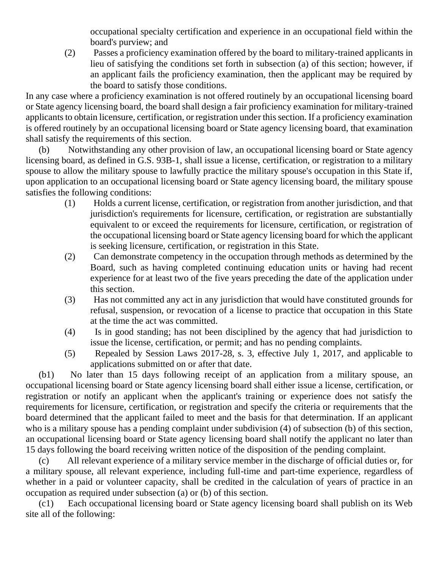occupational specialty certification and experience in an occupational field within the board's purview; and

(2) Passes a proficiency examination offered by the board to military-trained applicants in lieu of satisfying the conditions set forth in subsection (a) of this section; however, if an applicant fails the proficiency examination, then the applicant may be required by the board to satisfy those conditions.

In any case where a proficiency examination is not offered routinely by an occupational licensing board or State agency licensing board, the board shall design a fair proficiency examination for military-trained applicants to obtain licensure, certification, or registration under this section. If a proficiency examination is offered routinely by an occupational licensing board or State agency licensing board, that examination shall satisfy the requirements of this section.

(b) Notwithstanding any other provision of law, an occupational licensing board or State agency licensing board, as defined in G.S. 93B-1, shall issue a license, certification, or registration to a military spouse to allow the military spouse to lawfully practice the military spouse's occupation in this State if, upon application to an occupational licensing board or State agency licensing board, the military spouse satisfies the following conditions:

- (1) Holds a current license, certification, or registration from another jurisdiction, and that jurisdiction's requirements for licensure, certification, or registration are substantially equivalent to or exceed the requirements for licensure, certification, or registration of the occupational licensing board or State agency licensing board for which the applicant is seeking licensure, certification, or registration in this State.
- (2) Can demonstrate competency in the occupation through methods as determined by the Board, such as having completed continuing education units or having had recent experience for at least two of the five years preceding the date of the application under this section.
- (3) Has not committed any act in any jurisdiction that would have constituted grounds for refusal, suspension, or revocation of a license to practice that occupation in this State at the time the act was committed.
- (4) Is in good standing; has not been disciplined by the agency that had jurisdiction to issue the license, certification, or permit; and has no pending complaints.
- (5) Repealed by Session Laws 2017-28, s. 3, effective July 1, 2017, and applicable to applications submitted on or after that date.

(b1) No later than 15 days following receipt of an application from a military spouse, an occupational licensing board or State agency licensing board shall either issue a license, certification, or registration or notify an applicant when the applicant's training or experience does not satisfy the requirements for licensure, certification, or registration and specify the criteria or requirements that the board determined that the applicant failed to meet and the basis for that determination. If an applicant who is a military spouse has a pending complaint under subdivision (4) of subsection (b) of this section, an occupational licensing board or State agency licensing board shall notify the applicant no later than 15 days following the board receiving written notice of the disposition of the pending complaint.

(c) All relevant experience of a military service member in the discharge of official duties or, for a military spouse, all relevant experience, including full-time and part-time experience, regardless of whether in a paid or volunteer capacity, shall be credited in the calculation of years of practice in an occupation as required under subsection (a) or (b) of this section.

(c1) Each occupational licensing board or State agency licensing board shall publish on its Web site all of the following: